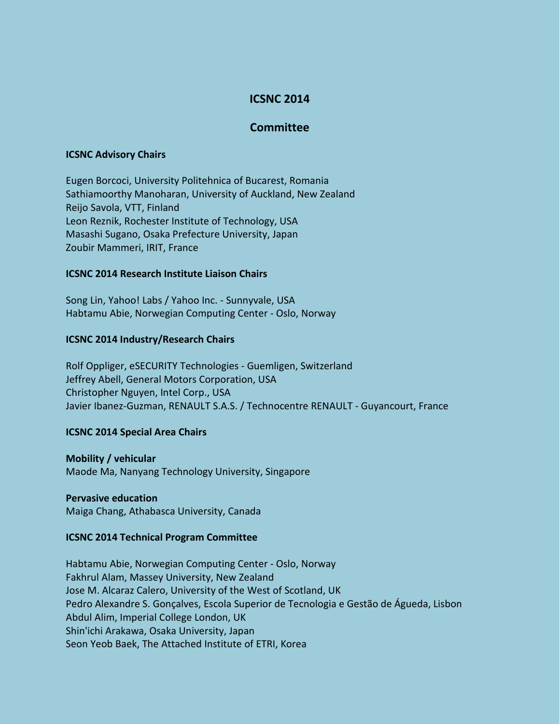# **ICSNC 2014**

## **Committee**

#### **ICSNC Advisory Chairs**

Eugen Borcoci, University Politehnica of Bucarest, Romania Sathiamoorthy Manoharan, University of Auckland, New Zealand Reijo Savola, VTT, Finland Leon Reznik, Rochester Institute of Technology, USA Masashi Sugano, Osaka Prefecture University, Japan Zoubir Mammeri, IRIT, France

## **ICSNC 2014 Research Institute Liaison Chairs**

Song Lin, Yahoo! Labs / Yahoo Inc. - Sunnyvale, USA Habtamu Abie, Norwegian Computing Center - Oslo, Norway

#### **ICSNC 2014 Industry/Research Chairs**

Rolf Oppliger, eSECURITY Technologies - Guemligen, Switzerland Jeffrey Abell, General Motors Corporation, USA Christopher Nguyen, Intel Corp., USA Javier Ibanez-Guzman, RENAULT S.A.S. / Technocentre RENAULT - Guyancourt, France

## **ICSNC 2014 Special Area Chairs**

**Mobility / vehicular** Maode Ma, Nanyang Technology University, Singapore

#### **Pervasive education**

Maiga Chang, Athabasca University, Canada

## **ICSNC 2014 Technical Program Committee**

Habtamu Abie, Norwegian Computing Center - Oslo, Norway Fakhrul Alam, Massey University, New Zealand Jose M. Alcaraz Calero, University of the West of Scotland, UK Pedro Alexandre S. Gonçalves, Escola Superior de Tecnologia e Gestão de Águeda, Lisbon Abdul Alim, Imperial College London, UK Shin'ichi Arakawa, Osaka University, Japan Seon Yeob Baek, The Attached Institute of ETRI, Korea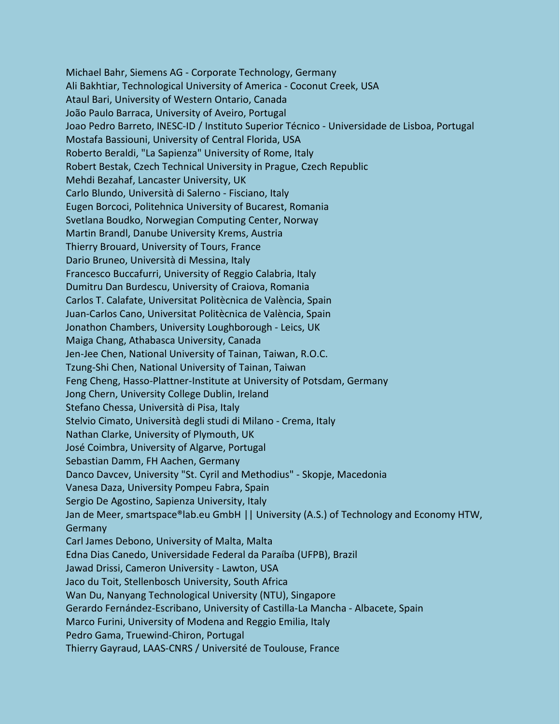Michael Bahr, Siemens AG - Corporate Technology, Germany Ali Bakhtiar, Technological University of America - Coconut Creek, USA Ataul Bari, University of Western Ontario, Canada João Paulo Barraca, University of Aveiro, Portugal Joao Pedro Barreto, INESC-ID / Instituto Superior Técnico - Universidade de Lisboa, Portugal Mostafa Bassiouni, University of Central Florida, USA Roberto Beraldi, "La Sapienza" University of Rome, Italy Robert Bestak, Czech Technical University in Prague, Czech Republic Mehdi Bezahaf, Lancaster University, UK Carlo Blundo, Università di Salerno - Fisciano, Italy Eugen Borcoci, Politehnica University of Bucarest, Romania Svetlana Boudko, Norwegian Computing Center, Norway Martin Brandl, Danube University Krems, Austria Thierry Brouard, University of Tours, France Dario Bruneo, Università di Messina, Italy Francesco Buccafurri, University of Reggio Calabria, Italy Dumitru Dan Burdescu, University of Craiova, Romania Carlos T. Calafate, Universitat Politècnica de València, Spain Juan-Carlos Cano, Universitat Politècnica de València, Spain Jonathon Chambers, University Loughborough - Leics, UK Maiga Chang, Athabasca University, Canada Jen-Jee Chen, National University of Tainan, Taiwan, R.O.C. Tzung-Shi Chen, National University of Tainan, Taiwan Feng Cheng, Hasso-Plattner-Institute at University of Potsdam, Germany Jong Chern, University College Dublin, Ireland Stefano Chessa, Università di Pisa, Italy Stelvio Cimato, Università degli studi di Milano - Crema, Italy Nathan Clarke, University of Plymouth, UK José Coimbra, University of Algarve, Portugal Sebastian Damm, FH Aachen, Germany Danco Davcev, University "St. Cyril and Methodius" - Skopje, Macedonia Vanesa Daza, University Pompeu Fabra, Spain Sergio De Agostino, Sapienza University, Italy Jan de Meer, smartspace®lab.eu GmbH || University (A.S.) of Technology and Economy HTW, **Germany** Carl James Debono, University of Malta, Malta Edna Dias Canedo, Universidade Federal da Paraíba (UFPB), Brazil Jawad Drissi, Cameron University - Lawton, USA Jaco du Toit, Stellenbosch University, South Africa Wan Du, Nanyang Technological University (NTU), Singapore Gerardo Fernández-Escribano, University of Castilla-La Mancha - Albacete, Spain Marco Furini, University of Modena and Reggio Emilia, Italy Pedro Gama, Truewind-Chiron, Portugal Thierry Gayraud, LAAS-CNRS / Université de Toulouse, France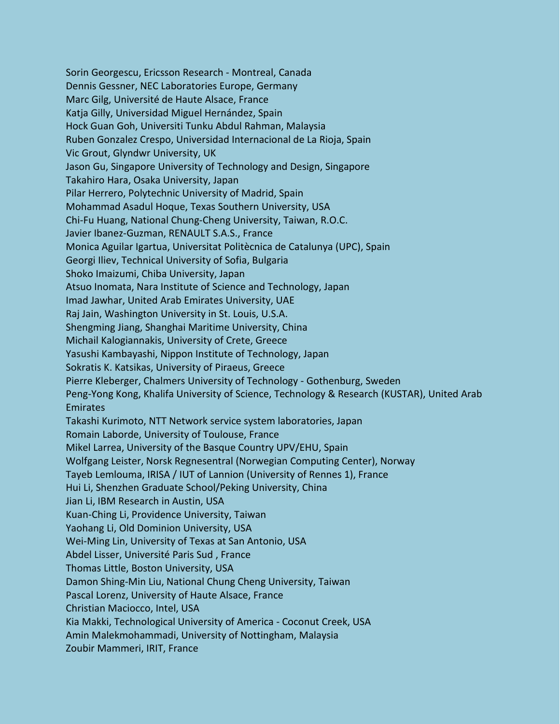Sorin Georgescu, Ericsson Research - Montreal, Canada Dennis Gessner, NEC Laboratories Europe, Germany Marc Gilg, Université de Haute Alsace, France Katja Gilly, Universidad Miguel Hernández, Spain Hock Guan Goh, Universiti Tunku Abdul Rahman, Malaysia Ruben Gonzalez Crespo, Universidad Internacional de La Rioja, Spain Vic Grout, Glyndwr University, UK Jason Gu, Singapore University of Technology and Design, Singapore Takahiro Hara, Osaka University, Japan Pilar Herrero, Polytechnic University of Madrid, Spain Mohammad Asadul Hoque, Texas Southern University, USA Chi-Fu Huang, National Chung-Cheng University, Taiwan, R.O.C. Javier Ibanez-Guzman, RENAULT S.A.S., France Monica Aguilar Igartua, Universitat Politècnica de Catalunya (UPC), Spain Georgi Iliev, Technical University of Sofia, Bulgaria Shoko Imaizumi, Chiba University, Japan Atsuo Inomata, Nara Institute of Science and Technology, Japan Imad Jawhar, United Arab Emirates University, UAE Raj Jain, Washington University in St. Louis, U.S.A. Shengming Jiang, Shanghai Maritime University, China Michail Kalogiannakis, University of Crete, Greece Yasushi Kambayashi, Nippon Institute of Technology, Japan Sokratis K. Katsikas, University of Piraeus, Greece Pierre Kleberger, Chalmers University of Technology - Gothenburg, Sweden Peng-Yong Kong, Khalifa University of Science, Technology & Research (KUSTAR), United Arab **Emirates** Takashi Kurimoto, NTT Network service system laboratories, Japan Romain Laborde, University of Toulouse, France Mikel Larrea, University of the Basque Country UPV/EHU, Spain Wolfgang Leister, Norsk Regnesentral (Norwegian Computing Center), Norway Tayeb Lemlouma, IRISA / IUT of Lannion (University of Rennes 1), France Hui Li, Shenzhen Graduate School/Peking University, China Jian Li, IBM Research in Austin, USA Kuan-Ching Li, Providence University, Taiwan Yaohang Li, Old Dominion University, USA Wei-Ming Lin, University of Texas at San Antonio, USA Abdel Lisser, Université Paris Sud , France Thomas Little, Boston University, USA Damon Shing-Min Liu, National Chung Cheng University, Taiwan Pascal Lorenz, University of Haute Alsace, France Christian Maciocco, Intel, USA Kia Makki, Technological University of America - Coconut Creek, USA Amin Malekmohammadi, University of Nottingham, Malaysia Zoubir Mammeri, IRIT, France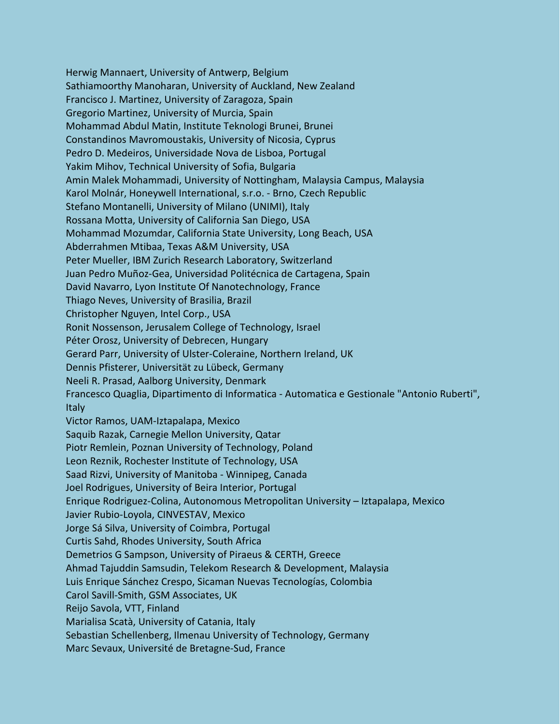Herwig Mannaert, University of Antwerp, Belgium Sathiamoorthy Manoharan, University of Auckland, New Zealand Francisco J. Martinez, University of Zaragoza, Spain Gregorio Martinez, University of Murcia, Spain Mohammad Abdul Matin, Institute Teknologi Brunei, Brunei Constandinos Mavromoustakis, University of Nicosia, Cyprus Pedro D. Medeiros, Universidade Nova de Lisboa, Portugal Yakim Mihov, Technical University of Sofia, Bulgaria Amin Malek Mohammadi, University of Nottingham, Malaysia Campus, Malaysia Karol Molnár, Honeywell International, s.r.o. - Brno, Czech Republic Stefano Montanelli, University of Milano (UNIMI), Italy Rossana Motta, University of California San Diego, USA Mohammad Mozumdar, California State University, Long Beach, USA Abderrahmen Mtibaa, Texas A&M University, USA Peter Mueller, IBM Zurich Research Laboratory, Switzerland Juan Pedro Muñoz-Gea, Universidad Politécnica de Cartagena, Spain David Navarro, Lyon Institute Of Nanotechnology, France Thiago Neves, University of Brasilia, Brazil Christopher Nguyen, Intel Corp., USA Ronit Nossenson, Jerusalem College of Technology, Israel Péter Orosz, University of Debrecen, Hungary Gerard Parr, University of Ulster-Coleraine, Northern Ireland, UK Dennis Pfisterer, Universität zu Lübeck, Germany Neeli R. Prasad, Aalborg University, Denmark Francesco Quaglia, Dipartimento di Informatica - Automatica e Gestionale "Antonio Ruberti", **Italy** Victor Ramos, UAM-Iztapalapa, Mexico Saquib Razak, Carnegie Mellon University, Qatar Piotr Remlein, Poznan University of Technology, Poland Leon Reznik, Rochester Institute of Technology, USA Saad Rizvi, University of Manitoba - Winnipeg, Canada Joel Rodrigues, University of Beira Interior, Portugal Enrique Rodriguez-Colina, Autonomous Metropolitan University – Iztapalapa, Mexico Javier Rubio-Loyola, CINVESTAV, Mexico Jorge Sá Silva, University of Coimbra, Portugal Curtis Sahd, Rhodes University, South Africa Demetrios G Sampson, University of Piraeus & CERTH, Greece Ahmad Tajuddin Samsudin, Telekom Research & Development, Malaysia Luis Enrique Sánchez Crespo, Sicaman Nuevas Tecnologías, Colombia Carol Savill-Smith, GSM Associates, UK Reijo Savola, VTT, Finland Marialisa Scatà, University of Catania, Italy Sebastian Schellenberg, Ilmenau University of Technology, Germany Marc Sevaux, Université de Bretagne-Sud, France